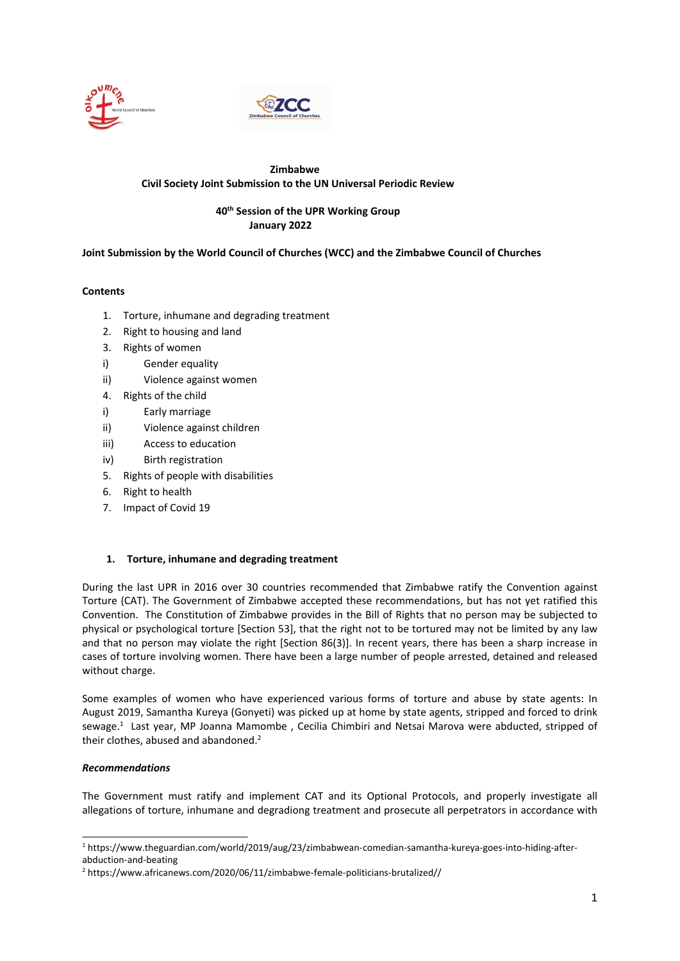



# **Zimbabwe Civil Society Joint Submission to the UN Universal Periodic Review**

# **40th Session of the UPR Working Group January 2022**

## **Joint Submission by the World Council of Churches (WCC) and the Zimbabwe Council of Churches**

## **Contents**

- 1. Torture, inhumane and degrading treatment
- 2. Right to housing and land
- 3. Rights of women
- i) Gender equality
- ii) Violence against women
- 4. Rights of the child
- i) Early marriage
- ii) Violence against children
- iii) Access to education
- iv) Birth registration
- 5. Rights of people with disabilities
- 6. Right to health
- 7. Impact of Covid 19

### **1. Torture, inhumane and degrading treatment**

During the last UPR in 2016 over 30 countries recommended that Zimbabwe ratify the Convention against Torture (CAT). The Government of Zimbabwe accepted these recommendations, but has not yet ratified this Convention. The Constitution of Zimbabwe provides in the Bill of Rights that no person may be subjected to physical or psychological torture [Section 53], that the right not to be tortured may not be limited by any law and that no person may violate the right [Section 86(3)]. In recent years, there has been <sup>a</sup> sharp increase in cases of torture involving women. There have been <sup>a</sup> large number of people arrested, detained and released without charge.

Some examples of women who have experienced various forms of torture and abuse by state agents: In August 2019, Samantha Kureya (Gonyeti) was picked up at home by state agents, stripped and forced to drink sewage. 1 Last year, MP Joanna Mamombe , Cecilia Chimbiri and Netsai Marova were abducted, stripped of their clothes, abused and abandoned.<sup>2</sup>

### *Recommendations*

The Government must ratify and implement CAT and its Optional Protocols, and properly investigate all allegations of torture, inhumane and degradiong treatment and prosecute all perpetrators in accordance with

<sup>1</sup> https://www.theguardian.com/world/2019/aug/23/zimbabwean-comedian-samantha-kureya-goes-into-hiding-afterabduction-and-beating

<sup>2</sup> https://www.africanews.com/2020/06/11/zimbabwe-female-politicians-brutalized//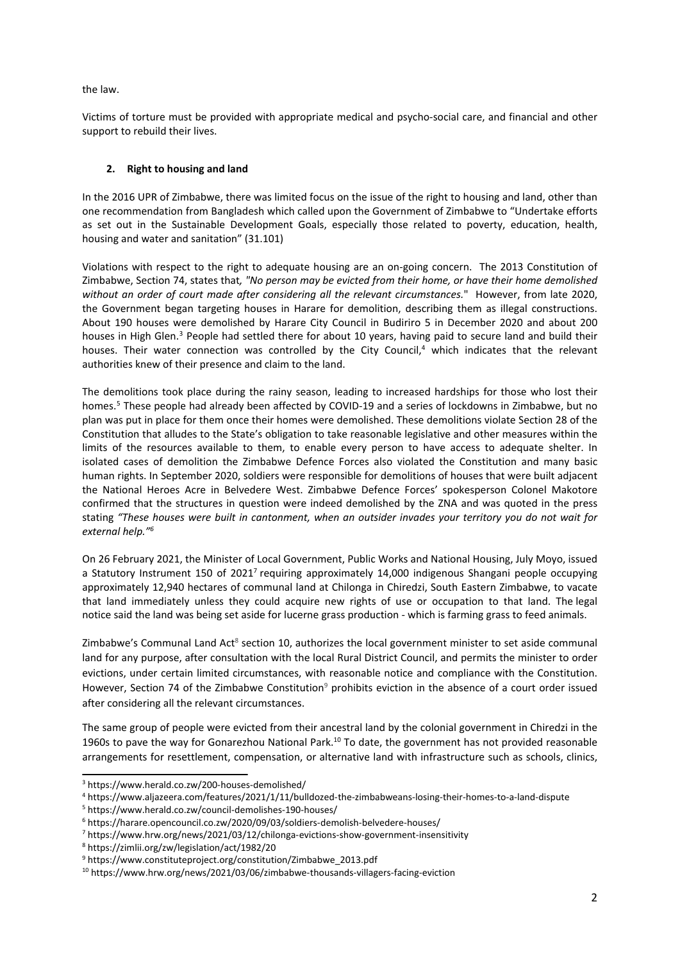the law.

Victims of torture must be provided with appropriate medical and psycho-social care, and financial and other support to rebuild their lives.

# **2. Right to housing and land**

In the 2016 UPR of Zimbabwe, there was limited focus on the issue of the right to housing and land, other than one recommendation from Bangladesh which called upon the Government of Zimbabwe to "Undertake efforts as set out in the Sustainable Development Goals, especially those related to poverty, education, health, housing and water and sanitation" (31.101)

Violations with respect to the right to adequate housing are an on-going concern. The 2013 Constitution of Zimbabwe, Section 74, states that*, "No person may be evicted from their home, or have their home demolished without an order of court made after considering all the relevant circumstances.*" However, from late 2020, the Government began targeting houses in Harare for demolition, describing them as illegal constructions. About 190 houses were demolished by Harare City Council in Budiriro 5 in December 2020 and about 200 houses in High Glen.<sup>3</sup> People had settled there for about 10 years, having paid to secure land and build their houses. Their water connection was controlled by the City Council,<sup>4</sup> which indicates that the relevant authorities knew of their presence and claim to the land.

The demolitions took place during the rainy season, leading to increased hardships for those who lost their homes. 5 These people had already been affected by COVID-19 and <sup>a</sup> series of lockdowns in Zimbabwe, but no plan was put in place for them once their homes were demolished. These demolitions violate Section 28 of the Constitution that alludes to the State'<sup>s</sup> obligation to take reasonable legislative and other measures within the limits of the resources available to them, to enable every person to have access to adequate shelter. In isolated cases of demolition the Zimbabwe Defence Forces also violated the Constitution and many basic human rights. In September 2020, soldiers were responsible for demolitions of houses that were built adjacent the National Heroes Acre in Belvedere West. Zimbabwe Defence Forces' spokesperson Colonel Makotore confirmed that the structures in question were indeed demolished by the ZNA and was quoted in the press stating "These houses were built in cantonment, when an outsider invades your territory you do not wait for *external help." 6*

On 26 February 2021, the Minister of Local Government, Public Works and National Housing, July Moyo, issued a Statutory Instrument 150 of 2021<sup>7</sup> requiring approximately 14,000 indigenous Shangani people occupying approximately 12,940 hectares of communal land at Chilonga in Chiredzi, South Eastern Zimbabwe, to vacate that land immediately unless they could acquire new rights of use or occupation to that land. The legal notice said the land was being set aside for lucerne grass production - which is farming grass to feed animals.

Zimbabwe's Communal Land Act<sup>8</sup> section 10, authorizes the local government minister to set aside communal land for any purpose, after consultation with the local Rural District Council, and permits the minister to order evictions, under certain limited circumstances, with reasonable notice and compliance with the Constitution. However, Section 74 of the Zimbabwe Constitution<sup>9</sup> prohibits eviction in the absence of a court order issued after considering all the relevant circumstances.

The same group of people were evicted from their ancestral land by the colonial government in Chiredzi in the 1960s to pave the way for Gonarezhou National Park.<sup>10</sup> To date, the government has not provided reasonable arrangements for resettlement, compensation, or alternative land with infrastructure such as schools, clinics,

8 https://zimlii.org/zw/legislation/act/1982/20

<sup>3</sup> https://www.herald.co.zw/200-houses-demolished/

<sup>4</sup> https://www.aljazeera.com/features/2021/1/11/bulldozed-the-zimbabweans-losing-their-homes-to-a-land-dispute

<sup>5</sup> https://www.herald.co.zw/council-demolishes-190-houses/

<sup>6</sup> https://harare.opencouncil.co.zw/2020/09/03/soldiers-demolish-belvedere-houses/

<sup>&</sup>lt;sup>7</sup> https://www.hrw.org/news/2021/03/12/chilonga-evictions-show-government-insensitivity

<sup>9</sup> https://www.constituteproject.org/constitution/Zimbabwe\_2013.pdf

<sup>&</sup>lt;sup>10</sup> https://www.hrw.org/news/2021/03/06/zimbabwe-thousands-villagers-facing-eviction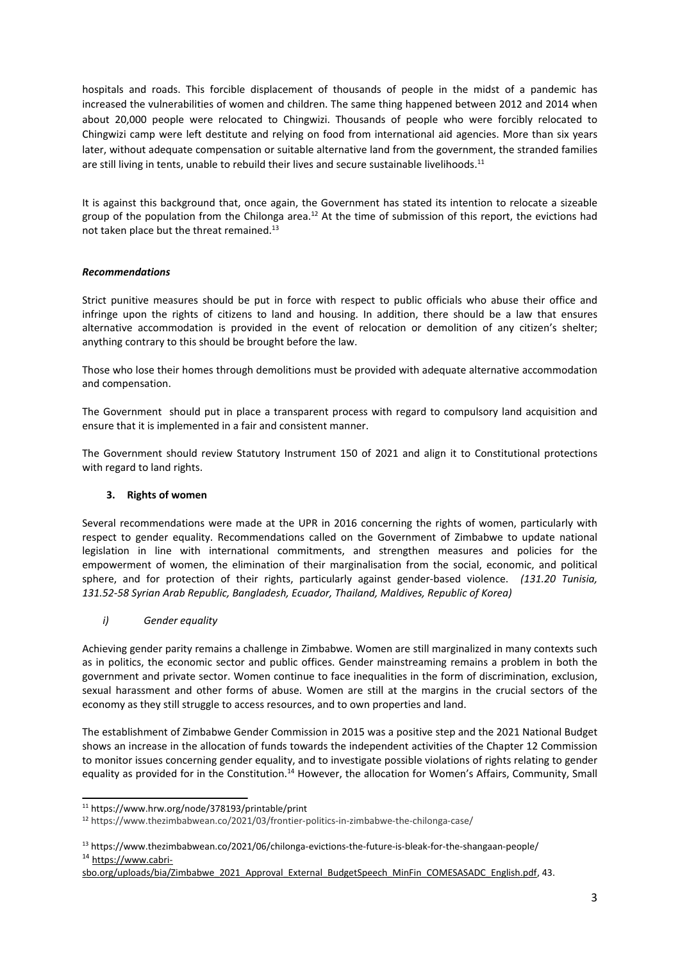hospitals and roads. This forcible displacement of thousands of people in the midst of <sup>a</sup> pandemic has increased the vulnerabilities of women and children. The same thing happened between 2012 and 2014 when about 20,000 people were relocated to Chingwizi. Thousands of people who were forcibly relocated to Chingwizi camp were left destitute and relying on food from international aid agencies. More than six years later, without adequate compensation or suitable alternative land from the government, the stranded families are still living in tents, unable to rebuild their lives and secure sustainable livelihoods.<sup>11</sup>

It is against this background that, once again, the Government has stated its intention to relocate <sup>a</sup> sizeable group of the population from the Chilonga area.<sup>12</sup> At the time of submission of this report, the evictions had not taken place but the threat remained.<sup>13</sup>

## *Recommendations*

Strict punitive measures should be put in force with respect to public officials who abuse their office and infringe upon the rights of citizens to land and housing. In addition, there should be <sup>a</sup> law that ensures alternative accommodation is provided in the event of relocation or demolition of any citizen'<sup>s</sup> shelter; anything contrary to this should be brought before the law.

Those who lose their homes through demolitions must be provided with adequate alternative accommodation and compensation.

The Government should put in place <sup>a</sup> transparent process with regard to compulsory land acquisition and ensure that it is implemented in <sup>a</sup> fair and consistent manner.

The Government should review Statutory Instrument 150 of 2021 and align it to Constitutional protections with regard to land rights.

# **3. Rights of women**

Several recommendations were made at the UPR in 2016 concerning the rights of women, particularly with respect to gender equality. Recommendations called on the Government of Zimbabwe to update national legislation in line with international commitments, and strengthen measures and policies for the empowerment of women, the elimination of their marginalisation from the social, economic, and political sphere, and for protection of their rights, particularly against gender-based violence. *(131.20 Tunisia, 131.52-58 Syrian Arab Republic, Bangladesh, Ecuador, Thailand, Maldives, Republic of Korea)*

### *i) Gender equality*

Achieving gender parity remains <sup>a</sup> challenge in Zimbabwe. Women are still marginalized in many contexts such as in politics, the economic sector and public offices. Gender mainstreaming remains <sup>a</sup> problem in both the government and private sector. Women continue to face inequalities in the form of discrimination, exclusion, sexual harassment and other forms of abuse. Women are still at the margins in the crucial sectors of the economy as they still struggle to access resources, and to own properties and land.

The establishment of Zimbabwe Gender Commission in 2015 was <sup>a</sup> positive step and the 2021 National Budget shows an increase in the allocation of funds towards the independent activities of the Chapter 12 Commission to monitor issues concerning gender equality, and to investigate possible violations of rights relating to gender equality as provided for in the Constitution.<sup>14</sup> However, the allocation for Women's Affairs, Community, Small

<sup>11</sup> https://www.hrw.org/node/378193/printable/print

<sup>&</sup>lt;sup>12</sup> https://www.thezimbabwean.co/2021/03/frontier-politics-in-zimbabwe-the-chilonga-case/

<sup>&</sup>lt;sup>13</sup> https://www.thezimbabwean.co/2021/06/chilonga-evictions-the-future-is-bleak-for-the-shangaan-people/ <sup>14</sup> [https://www.cabri-](https://www.cabri-sbo.org/uploads/bia/Zimbabwe_2021_Approval_External_BudgetSpeech_MinFin_COMESASADC_English.pdf)

[sbo.org/uploads/bia/Zimbabwe\\_2021\\_Approval\\_External\\_BudgetSpeech\\_MinFin\\_COMESASADC\\_English.pdf](https://www.cabri-sbo.org/uploads/bia/Zimbabwe_2021_Approval_External_BudgetSpeech_MinFin_COMESASADC_English.pdf), 43.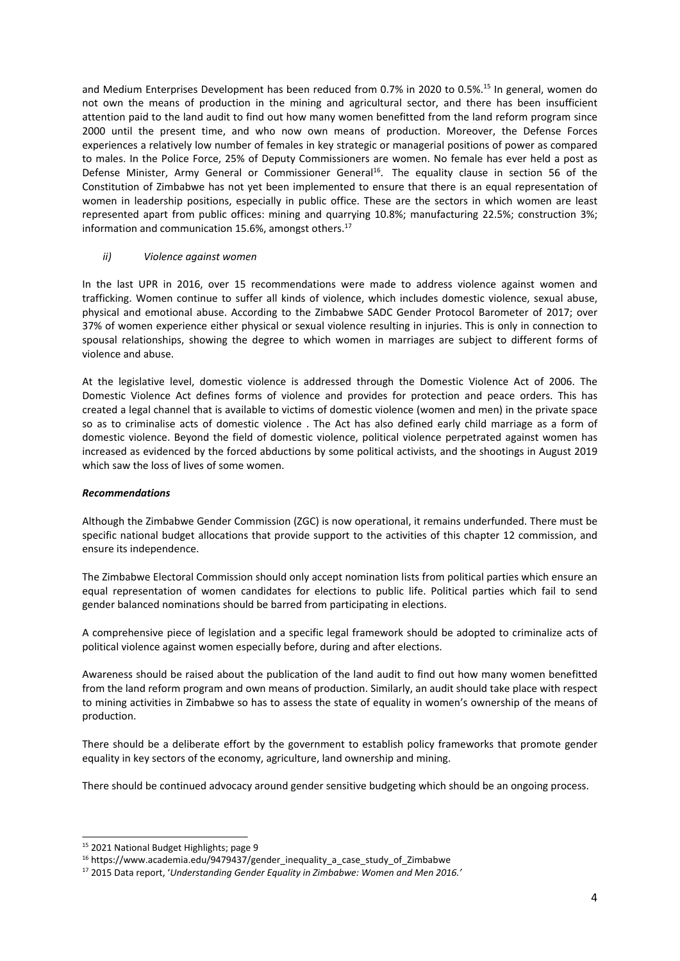and Medium Enterprises Development has been reduced from 0.7% in 2020 to 0.5%. 15 In general, women do not own the means of production in the mining and agricultural sector, and there has been insufficient attention paid to the land audit to find out how many women benefitted from the land reform program since 2000 until the present time, and who now own means of production. Moreover, the Defense Forces experiences <sup>a</sup> relatively low number of females in key strategic or managerial positions of power as compared to males. In the Police Force, 25% of Deputy Commissioners are women. No female has ever held <sup>a</sup> post as Defense Minister, Army General or Commissioner General<sup>16</sup>. The equality clause in section 56 of the Constitution of Zimbabwe has not yet been implemented to ensure that there is an equal representation of women in leadership positions, especially in public office. These are the sectors in which women are least represented apart from public offices: mining and quarrying 10.8%; manufacturing 22.5%; construction 3%; information and communication 15.6%, amongst others. 17

### *ii) Violence against women*

In the last UPR in 2016, over 15 recommendations were made to address violence against women and trafficking. Women continue to suffer all kinds of violence, which includes domestic violence, sexual abuse, physical and emotional abuse. According to the Zimbabwe SADC Gender Protocol Barometer of 2017; over 37% of women experience either physical or sexual violence resulting in injuries. This is only in connection to spousal relationships, showing the degree to which women in marriages are subject to different forms of violence and abuse.

At the legislative level, domestic violence is addressed through the Domestic Violence Act of 2006. The Domestic Violence Act defines forms of violence and provides for protection and peace orders. This has created <sup>a</sup> legal channel that is available to victims of domestic violence (women and men) in the private space so as to criminalise acts of domestic violence . The Act has also defined early child marriage as <sup>a</sup> form of domestic violence. Beyond the field of domestic violence, political violence perpetrated against women has increased as evidenced by the forced abductions by some political activists, and the shootings in August 2019 which saw the loss of lives of some women.

### *Recommendations*

Although the Zimbabwe Gender Commission (ZGC) is now operational, it remains underfunded. There must be specific national budget allocations that provide support to the activities of this chapter 12 commission, and ensure its independence.

The Zimbabwe Electoral Commission should only accept nomination lists from political parties which ensure an equal representation of women candidates for elections to public life. Political parties which fail to send gender balanced nominations should be barred from participating in elections.

A comprehensive piece of legislation and <sup>a</sup> specific legal framework should be adopted to criminalize acts of political violence against women especially before, during and after elections.

Awareness should be raised about the publication of the land audit to find out how many women benefitted from the land reform program and own means of production. Similarly, an audit should take place with respect to mining activities in Zimbabwe so has to assess the state of equality in women'<sup>s</sup> ownership of the means of production.

There should be <sup>a</sup> deliberate effort by the government to establish policy frameworks that promote gender equality in key sectors of the economy, agriculture, land ownership and mining.

There should be continued advocacy around gender sensitive budgeting which should be an ongoing process.

<sup>&</sup>lt;sup>15</sup> 2021 National Budget Highlights; page 9

<sup>&</sup>lt;sup>16</sup> https://www.academia.edu/9479437/gender\_inequality\_a\_case\_study\_of\_Zimbabwe

<sup>17</sup> 2015 Data report, '*Understanding Gender Equality in Zimbabwe: Women and Men 2016.'*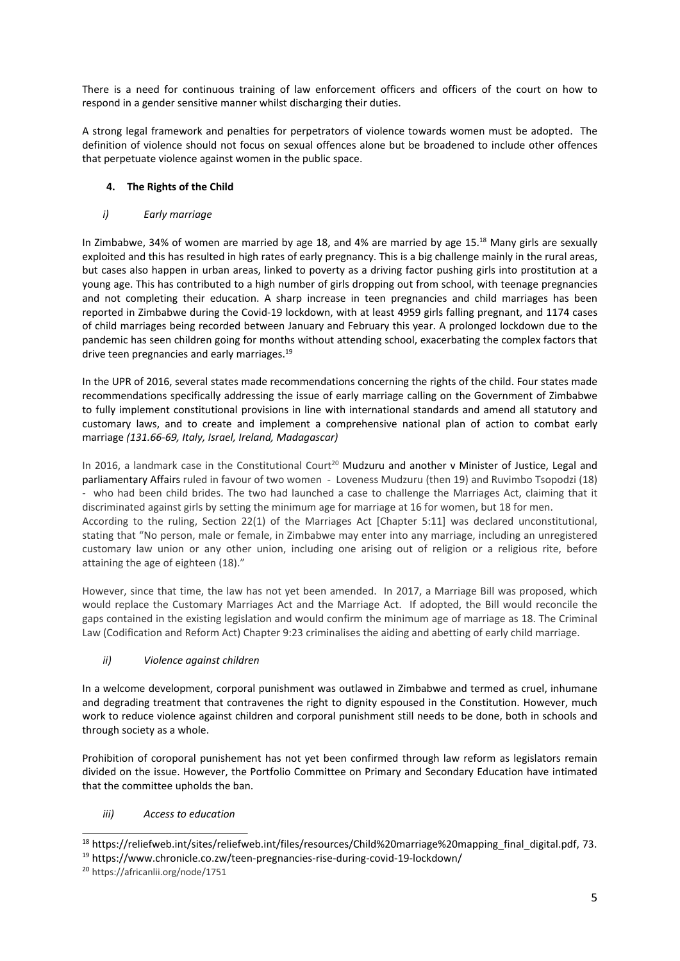There is <sup>a</sup> need for continuous training of law enforcement officers and officers of the court on how to respond in <sup>a</sup> gender sensitive manner whilst discharging their duties.

A strong legal framework and penalties for perpetrators of violence towards women must be adopted. The definition of violence should not focus on sexual offences alone but be broadened to include other offences that perpetuate violence against women in the public space.

# **4. The Rights of the Child**

# *i) Early marriage*

In Zimbabwe, 34% of women are married by age 18, and 4% are married by age 15.<sup>18</sup> Many girls are sexually exploited and this has resulted in high rates of early pregnancy. This is <sup>a</sup> big challenge mainly in the rural areas, but cases also happen in urban areas, linked to poverty as <sup>a</sup> driving factor pushing girls into prostitution at <sup>a</sup> young age. This has contributed to <sup>a</sup> high number of girls dropping out from school, with teenage pregnancies and not completing their education. A sharp increase in teen pregnancies and child marriages has been reported in Zimbabwe during the Covid-19 lockdown, with at least 4959 girls falling pregnant, and 1174 cases of child marriages being recorded between January and February this year. A prolonged lockdown due to the pandemic has seen children going for months without attending school, exacerbating the complex factors that drive teen pregnancies and early marriages.<sup>19</sup>

In the UPR of 2016, several states made recommendations concerning the rights of the child. Four states made recommendations specifically addressing the issue of early marriage calling on the Government of Zimbabwe to fully implement constitutional provisions in line with international standards and amend all statutory and customary laws, and to create and implement <sup>a</sup> comprehensive national plan of action to combat early marriage *(131.66-69, Italy, Israel, Ireland, Madagascar)*

In 2016, a landmark case in the Constitutional Court<sup>20</sup> Mudzuru and another v Minister of Justice, Legal and parliamentary Affairs ruled in favour of two women - Loveness Mudzuru (then 19) and Ruvimbo Tsopodzi (18) - who had been child brides. The two had launched <sup>a</sup> case to challenge the Marriages Act, claiming that it discriminated against girls by setting the minimum age for marriage at 16 for women, but 18 for men. According to the ruling, Section 22(1) of the Marriages Act [Chapter 5:11] was declared unconstitutional, stating that "No person, male or female, in Zimbabwe may enter into any marriage, including an unregistered customary law union or any other union, including one arising out of religion or <sup>a</sup> religious rite, before attaining the age of eighteen (18)."

However, since that time, the law has not yet been amended. In 2017, <sup>a</sup> Marriage Bill was proposed, which would replace the Customary Marriages Act and the Marriage Act. If adopted, the Bill would reconcile the gaps contained in the existing legislation and would confirm the minimum age of marriage as 18. The Criminal Law (Codification and Reform Act) Chapter 9:23 criminalises the aiding and abetting of early child marriage.

# *ii) Violence against children*

In <sup>a</sup> welcome development, corporal punishment was outlawed in Zimbabwe and termed as cruel, inhumane and degrading treatment that contravenes the right to dignity espoused in the Constitution. However, much work to reduce violence against children and corporal punishment still needs to be done, both in schools and through society as <sup>a</sup> whole.

Prohibition of coroporal punishement has not yet been confirmed through law reform as legislators remain divided on the issue. However, the Portfolio Committee on Primary and Secondary Education have intimated that the committee upholds the ban.

# *iii) Access to education*

<sup>&</sup>lt;sup>18</sup> https://reliefweb.int/sites/reliefweb.int/files/resources/Child%20marriage%20mapping\_final\_digital.pdf, 73. <sup>19</sup> https://www.chronicle.co.zw/teen-pregnancies-rise-during-covid-19-lockdown/

<sup>&</sup>lt;sup>20</sup> https://africanlii.org/node/1751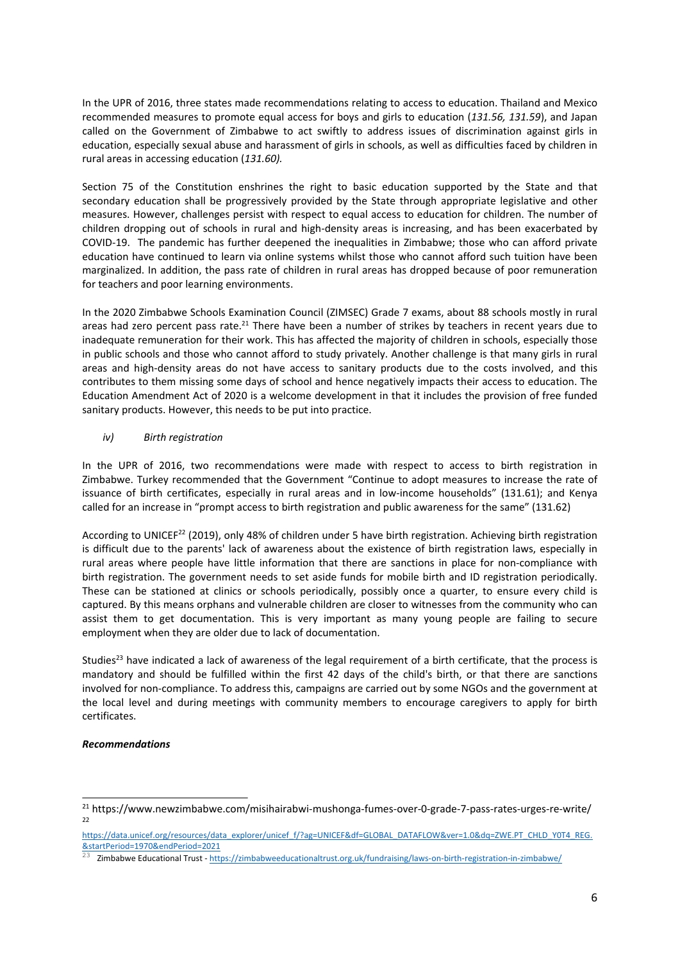In the UPR of 2016, three states made recommendations relating to access to education. Thailand and Mexico recommended measures to promote equal access for boys and girls to education (*131.56, 131.59*), and Japan called on the Government of Zimbabwe to act swiftly to address issues of discrimination against girls in education, especially sexual abuse and harassment of girls in schools, as well as difficulties faced by children in rural areas in accessing education (*131.60).*

Section 75 of the Constitution enshrines the right to basic education supported by the State and that secondary education shall be progressively provided by the State through appropriate legislative and other measures. However, challenges persist with respect to equal access to education for children. The number of children dropping out of schools in rural and high-density areas is increasing, and has been exacerbated by COVID-19. The pandemic has further deepened the inequalities in Zimbabwe; those who can afford private education have continued to learn via online systems whilst those who cannot afford such tuition have been marginalized. In addition, the pass rate of children in rural areas has dropped because of poor remuneration for teachers and poor learning environments.

In the 2020 Zimbabwe Schools Examination Council (ZIMSEC) Grade 7 exams, about 88 schools mostly in rural areas had zero percent pass rate.<sup>21</sup> There have been a number of strikes by teachers in recent years due to inadequate remuneration for their work. This has affected the majority of children in schools, especially those in public schools and those who cannot afford to study privately. Another challenge is that many girls in rural areas and high-density areas do not have access to sanitary products due to the costs involved, and this contributes to them missing some days of school and hence negatively impacts their access to education. The Education Amendment Act of 2020 is <sup>a</sup> welcome development in that it includes the provision of free funded sanitary products. However, this needs to be put into practice.

## *iv) Birth registration*

In the UPR of 2016, two recommendations were made with respect to access to birth registration in Zimbabwe. Turkey recommended that the Government "Continue to adopt measures to increase the rate of issuance of birth certificates, especially in rural areas and in low-income households" (131.61); and Kenya called for an increase in "prompt access to birth registration and public awareness for the same" (131.62)

According to UNICEF<sup>22</sup> (2019), only 48% of children under 5 have birth registration. Achieving birth registration is difficult due to the parents' lack of awareness about the existence of birth registration laws, especially in rural areas where people have little information that there are sanctions in place for non-compliance with birth registration. The government needs to set aside funds for mobile birth and ID registration periodically. These can be stationed at clinics or schools periodically, possibly once <sup>a</sup> quarter, to ensure every child is captured. By this means orphans and vulnerable children are closer to witnesses from the community who can assist them to get documentation. This is very important as many young people are failing to secure employment when they are older due to lack of documentation.

Studies<sup>23</sup> have indicated a lack of awareness of the legal requirement of a birth certificate, that the process is mandatory and should be fulfilled within the first 42 days of the child's birth, or that there are sanctions involved for non-compliance. To address this, campaigns are carried out by some NGOs and the government at the local level and during meetings with community members to encourage caregivers to apply for birth certificates.

## *Recommendations*

<sup>&</sup>lt;sup>21</sup> https://www.newzimbabwe.com/misihairabwi-mushonga-fumes-over-0-grade-7-pass-rates-urges-re-write/ 22

[https://data.unicef.org/resources/data\\_explorer/unicef\\_f/?ag=UNICEF&df=GLOBAL\\_DATAFLOW&ver=1.0&dq=ZWE.PT\\_CHLD\\_Y0T4\\_REG.](https://data.unicef.org/resources/data_explorer/unicef_f/?ag=UNICEF&df=GLOBAL_DATAFLOW&ver=1.0&dq=ZWE.PT_CHLD_Y0T4_REG.&startPeriod=1970&endPeriod=2021) [&startPeriod=1970&endPeriod=2021](https://data.unicef.org/resources/data_explorer/unicef_f/?ag=UNICEF&df=GLOBAL_DATAFLOW&ver=1.0&dq=ZWE.PT_CHLD_Y0T4_REG.&startPeriod=1970&endPeriod=2021) 23

Zimbabwe Educational Trust - <https://zimbabweeducationaltrust.org.uk/fundraising/laws-on-birth-registration-in-zimbabwe/>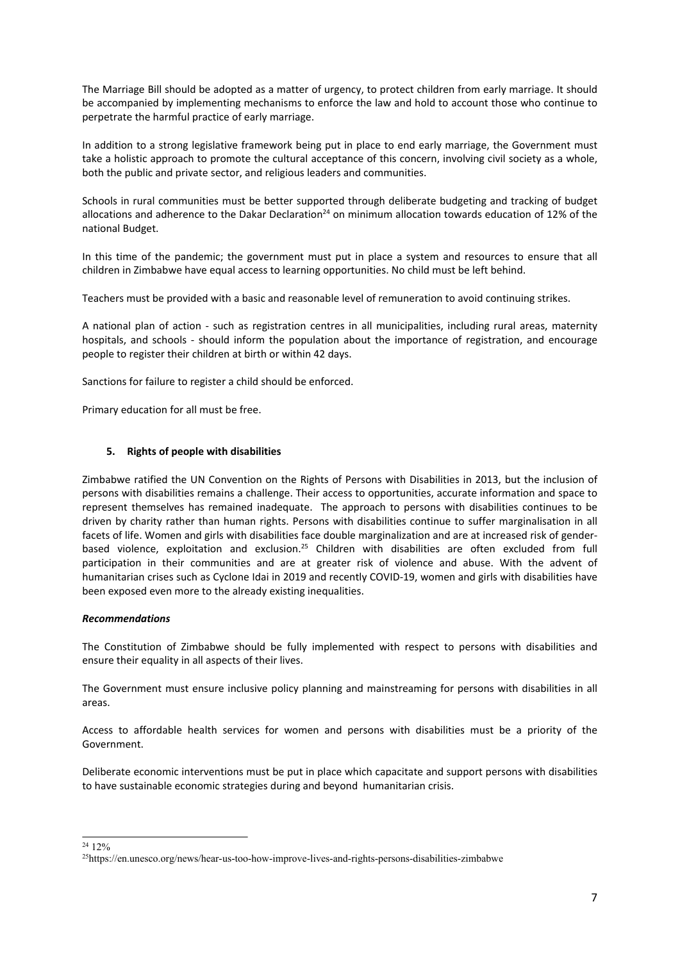The Marriage Bill should be adopted as <sup>a</sup> matter of urgency, to protect children from early marriage. It should be accompanied by implementing mechanisms to enforce the law and hold to account those who continue to perpetrate the harmful practice of early marriage.

In addition to <sup>a</sup> strong legislative framework being put in place to end early marriage, the Government must take <sup>a</sup> holistic approach to promote the cultural acceptance of this concern, involving civil society as <sup>a</sup> whole, both the public and private sector, and religious leaders and communities.

Schools in rural communities must be better supported through deliberate budgeting and tracking of budget allocations and adherence to the Dakar Declaration<sup>24</sup> on minimum allocation towards education of 12% of the national Budget.

In this time of the pandemic; the government must put in place <sup>a</sup> system and resources to ensure that all children in Zimbabwe have equal access to learning opportunities. No child must be left behind.

Teachers must be provided with <sup>a</sup> basic and reasonable level of remuneration to avoid continuing strikes.

A national plan of action - such as registration centres in all municipalities, including rural areas, maternity hospitals, and schools - should inform the population about the importance of registration, and encourage people to register their children at birth or within 42 days.

Sanctions for failure to register <sup>a</sup> child should be enforced.

Primary education for all must be free.

### **5. Rights of people with disabilities**

Zimbabwe ratified the UN Convention on the Rights of Persons with Disabilities in 2013, but the inclusion of persons with disabilities remains <sup>a</sup> challenge. Their access to opportunities, accurate information and space to represent themselves has remained inadequate. The approach to persons with disabilities continues to be driven by charity rather than human rights. Persons with disabilities continue to suffer marginalisation in all facets of life. Women and girls with disabilities face double marginalization and are at increased risk of genderbased violence, exploitation and exclusion.<sup>25</sup> Children with disabilities are often excluded from full participation in their communities and are at greater risk of violence and abuse. With the advent of humanitarian crises such as Cyclone Idai in 2019 and recently COVID-19, women and girls with disabilities have been exposed even more to the already existing inequalities.

### *Recommendations*

The Constitution of Zimbabwe should be fully implemented with respect to persons with disabilities and ensure their equality in all aspects of their lives.

The Government must ensure inclusive policy planning and mainstreaming for persons with disabilities in all areas.

Access to affordable health services for women and persons with disabilities must be <sup>a</sup> priority of the Government.

Deliberate economic interventions must be put in place which capacitate and support persons with disabilities to have sustainable economic strategies during and beyond humanitarian crisis.

<sup>24</sup> 12%

<sup>&</sup>lt;sup>25</sup>https://en.unesco.org/news/hear-us-too-how-improve-lives-and-rights-persons-disabilities-zimbabwe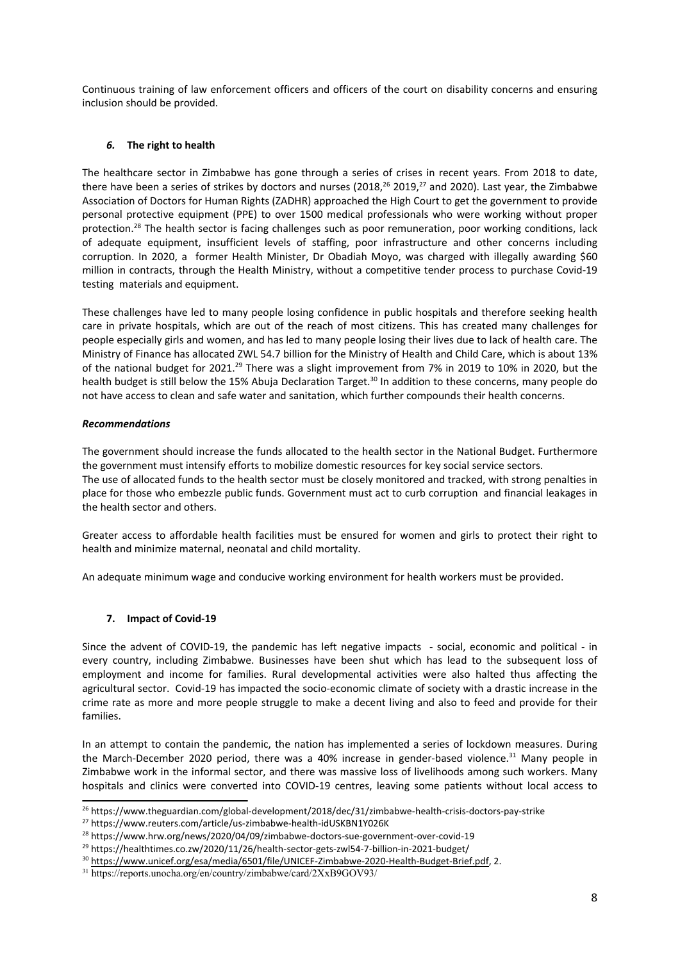Continuous training of law enforcement officers and officers of the court on disability concerns and ensuring inclusion should be provided.

## *6.* **The right to health**

The healthcare sector in Zimbabwe has gone through <sup>a</sup> series of crises in recent years. From 2018 to date, there have been a series of strikes by doctors and nurses (2018, $^{26}$  2019, $^{27}$  and 2020). Last year, the Zimbabwe Association of Doctors for Human Rights (ZADHR) approached the High Court to get the government to provide personal protective equipment (PPE) to over 1500 medical professionals who were working without proper protection.<sup>28</sup> The health sector is facing challenges such as poor remuneration, poor working conditions, lack of adequate equipment, insufficient levels of staffing, poor infrastructure and other concerns including corruption. In 2020, <sup>a</sup> former Health Minister, Dr Obadiah Moyo, was charged with illegally awarding \$60 million in contracts, through the Health Ministry, without <sup>a</sup> competitive tender process to purchase Covid-19 testing materials and equipment.

These challenges have led to many people losing confidence in public hospitals and therefore seeking health care in private hospitals, which are out of the reach of most citizens. This has created many challenges for people especially girls and women, and has led to many people losing their lives due to lack of health care. The Ministry of Finance has allocated ZWL 54.7 billion for the Ministry of Health and Child Care, which is about 13% of the national budget for 2021.<sup>29</sup> There was a slight improvement from 7% in 2019 to 10% in 2020, but the health budget is still below the 15% Abuja Declaration Target.<sup>30</sup> In addition to these concerns, many people do not have access to clean and safe water and sanitation, which further compounds their health concerns.

## *Recommendations*

The government should increase the funds allocated to the health sector in the National Budget. Furthermore the government must intensify efforts to mobilize domestic resources for key social service sectors. The use of allocated funds to the health sector must be closely monitored and tracked, with strong penalties in place for those who embezzle public funds. Government must act to curb corruption and financial leakages in the health sector and others.

Greater access to affordable health facilities must be ensured for women and girls to protect their right to health and minimize maternal, neonatal and child mortality.

An adequate minimum wage and conducive working environment for health workers must be provided.

# **7. Impact of Covid-19**

Since the advent of COVID-19, the pandemic has left negative impacts - social, economic and political - in every country, including Zimbabwe. Businesses have been shut which has lead to the subsequent loss of employment and income for families. Rural developmental activities were also halted thus affecting the agricultural sector. Covid-19 has impacted the socio-economic climate of society with <sup>a</sup> drastic increase in the crime rate as more and more people struggle to make <sup>a</sup> decent living and also to feed and provide for their families.

In an attempt to contain the pandemic, the nation has implemented <sup>a</sup> series of lockdown measures. During the March-December 2020 period, there was a 40% increase in gender-based violence.<sup>31</sup> Many people in Zimbabwe work in the informal sector, and there was massive loss of livelihoods among such workers. Many hospitals and clinics were converted into COVID-19 centres, leaving some patients without local access to

<sup>&</sup>lt;sup>26</sup> https://www.theguardian.com/global-development/2018/dec/31/zimbabwe-health-crisis-doctors-pay-strike

<sup>27</sup> https://www.reuters.com/article/us-zimbabwe-health-idUSKBN1Y026K

<sup>&</sup>lt;sup>28</sup> https://www.hrw.org/news/2020/04/09/zimbabwe-doctors-sue-government-over-covid-19

<sup>&</sup>lt;sup>29</sup> https://healthtimes.co.zw/2020/11/26/health-sector-gets-zwl54-7-billion-in-2021-budget/

<sup>&</sup>lt;sup>30</sup> <https://www.unicef.org/esa/media/6501/file/UNICEF-Zimbabwe-2020-Health-Budget-Brief.pdf>, 2.

<sup>31</sup> https://reports.unocha.org/en/country/zimbabwe/card/2XxB9GOV93/